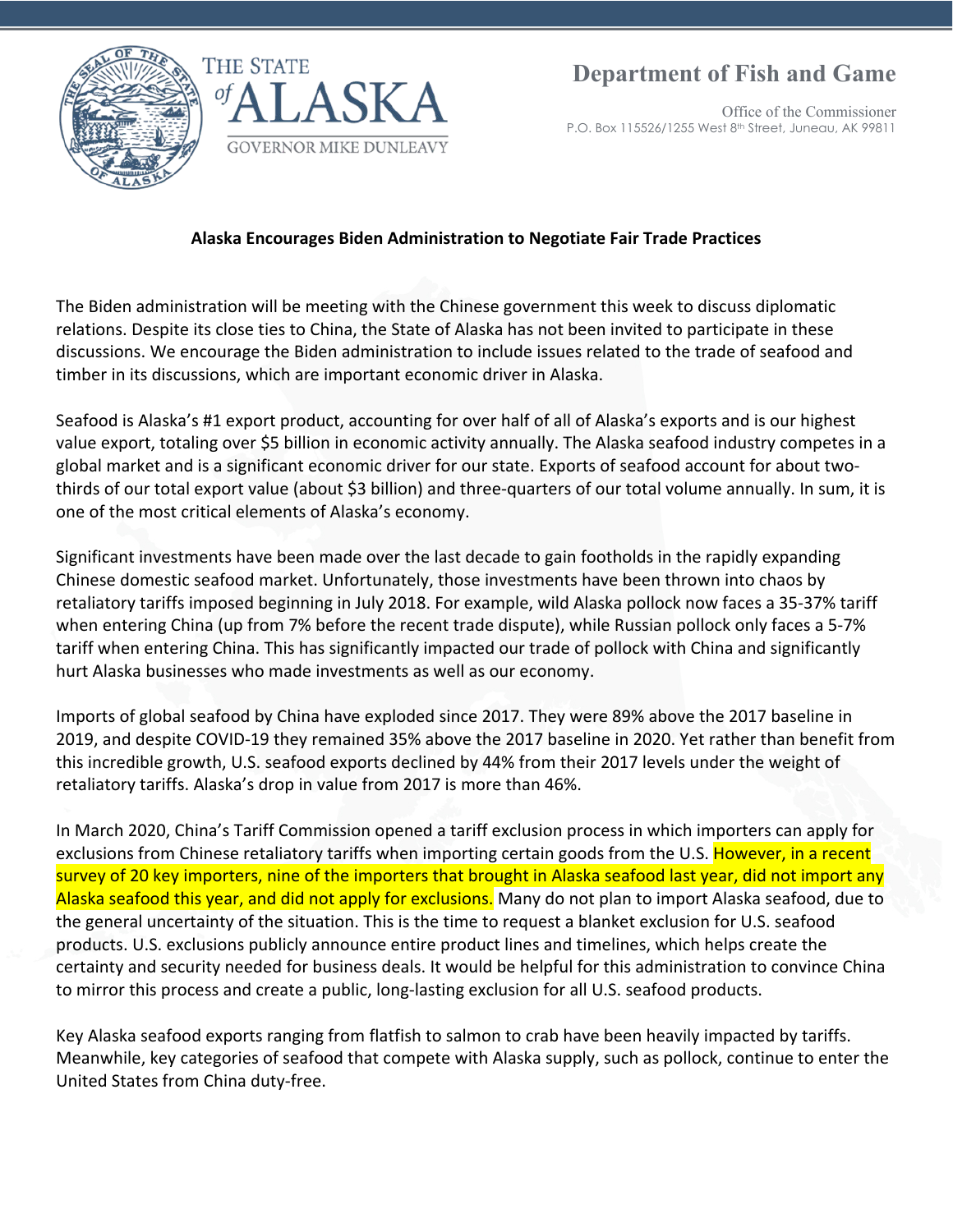

Office of the Commissioner P.O. Box 115526/1255 West 8th Street, Juneau, AK 99811

## of  $\Lambda$



## **Alaska Encourages Biden Administration to Negotiate Fair Trade Practices**

The Biden administration will be meeting with the Chinese government this week to discuss diplomatic relations. Despite its close ties to China, the State of Alaska has not been invited to participate in these discussions. We encourage the Biden administration to include issues related to the trade of seafood and timber in its discussions, which are important economic driver in Alaska.

Seafood is Alaska's #1 export product, accounting for over half of all of Alaska's exports and is our highest value export, totaling over \$5 billion in economic activity annually. The Alaska seafood industry competes in a global market and is a significant economic driver for our state. Exports of seafood account for about twothirds of our total export value (about \$3 billion) and three-quarters of our total volume annually. In sum, it is one of the most critical elements of Alaska's economy.

Significant investments have been made over the last decade to gain footholds in the rapidly expanding Chinese domestic seafood market. Unfortunately, those investments have been thrown into chaos by retaliatory tariffs imposed beginning in July 2018. For example, wild Alaska pollock now faces a 35-37% tariff when entering China (up from 7% before the recent trade dispute), while Russian pollock only faces a 5-7% tariff when entering China. This has significantly impacted our trade of pollock with China and significantly hurt Alaska businesses who made investments as well as our economy.

Imports of global seafood by China have exploded since 2017. They were 89% above the 2017 baseline in 2019, and despite COVID-19 they remained 35% above the 2017 baseline in 2020. Yet rather than benefit from this incredible growth, U.S. seafood exports declined by 44% from their 2017 levels under the weight of retaliatory tariffs. Alaska's drop in value from 2017 is more than 46%.

In March 2020, China's Tariff Commission opened a tariff exclusion process in which importers can apply for exclusions from Chinese retaliatory tariffs when importing certain goods from the U.S. However, in a recent survey of 20 key importers, nine of the importers that brought in Alaska seafood last year, did not import any Alaska seafood this year, and did not apply for exclusions. Many do not plan to import Alaska seafood, due to the general uncertainty of the situation. This is the time to request a blanket exclusion for U.S. seafood products. U.S. exclusions publicly announce entire product lines and timelines, which helps create the certainty and security needed for business deals. It would be helpful for this administration to convince China to mirror this process and create a public, long-lasting exclusion for all U.S. seafood products.

Key Alaska seafood exports ranging from flatfish to salmon to crab have been heavily impacted by tariffs. Meanwhile, key categories of seafood that compete with Alaska supply, such as pollock, continue to enter the United States from China duty-free.